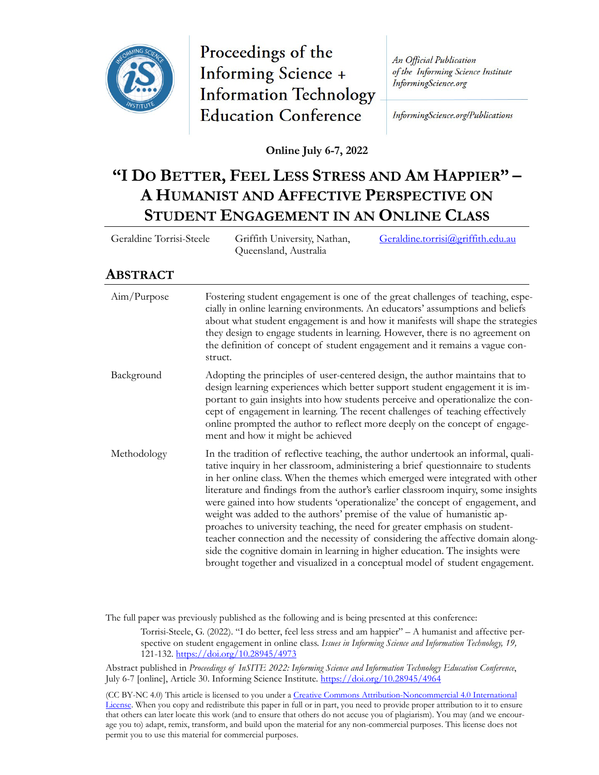

Proceedings of the **Informing Science + Information Technology Education Conference** 

An Official Publication of the Informing Science Institute InformingScience.org

InformingScience.org/Publications

**Online July 6-7, 2022**

## **"I DO BETTER, FEEL LESS STRESS AND AM HAPPIER" – A HUMANIST AND AFFECTIVE PERSPECTIVE ON STUDENT ENGAGEMENT IN AN ONLINE CLASS**

Geraldine Torrisi-Steele Griffith University, Nathan, Queensland, Australia [Geraldine.torrisi@griffith.edu.au](mailto:Geraldine.torrisi@griffith.edu.au)

## **ABSTRACT**

| Aim/Purpose | Fostering student engagement is one of the great challenges of teaching, espe-<br>cially in online learning environments. An educators' assumptions and beliefs<br>about what student engagement is and how it manifests will shape the strategies<br>they design to engage students in learning. However, there is no agreement on<br>the definition of concept of student engagement and it remains a vague con-<br>struct.                                                                                                                                                                                                                                                                                                                                                                                                             |
|-------------|-------------------------------------------------------------------------------------------------------------------------------------------------------------------------------------------------------------------------------------------------------------------------------------------------------------------------------------------------------------------------------------------------------------------------------------------------------------------------------------------------------------------------------------------------------------------------------------------------------------------------------------------------------------------------------------------------------------------------------------------------------------------------------------------------------------------------------------------|
| Background  | Adopting the principles of user-centered design, the author maintains that to<br>design learning experiences which better support student engagement it is im-<br>portant to gain insights into how students perceive and operationalize the con-<br>cept of engagement in learning. The recent challenges of teaching effectively<br>online prompted the author to reflect more deeply on the concept of engage-<br>ment and how it might be achieved                                                                                                                                                                                                                                                                                                                                                                                    |
| Methodology | In the tradition of reflective teaching, the author undertook an informal, quali-<br>tative inquiry in her classroom, administering a brief questionnaire to students<br>in her online class. When the themes which emerged were integrated with other<br>literature and findings from the author's earlier classroom inquiry, some insights<br>were gained into how students 'operationalize' the concept of engagement, and<br>weight was added to the authors' premise of the value of humanistic ap-<br>proaches to university teaching, the need for greater emphasis on student-<br>teacher connection and the necessity of considering the affective domain along-<br>side the cognitive domain in learning in higher education. The insights were<br>brought together and visualized in a conceptual model of student engagement. |

The full paper was previously published as the following and is being presented at this conference:

Torrisi-Steele, G. (2022). "I do better, feel less stress and am happier" – A humanist and affective perspective on student engagement in online class. *Issues in Informing Science and Information Technology, 19,* 121-132.<https://doi.org/10.28945/4973>

Abstract published in *Proceedings of InSITE 2022: Informing Science and Information Technology Education Conference*, July 6-7 [online], Article 30. Informing Science Institute.<https://doi.org/10.28945/4964>

(CC BY-NC 4.0) This article is licensed to you under a [Creative Commons Attribution-Noncommercial](https://creativecommons.org/licenses/by-nc/4.0/) 4.0 International [License.](https://creativecommons.org/licenses/by-nc/4.0/) When you copy and redistribute this paper in full or in part, you need to provide proper attribution to it to ensure that others can later locate this work (and to ensure that others do not accuse you of plagiarism). You may (and we encourage you to) adapt, remix, transform, and build upon the material for any non-commercial purposes. This license does not permit you to use this material for commercial purposes.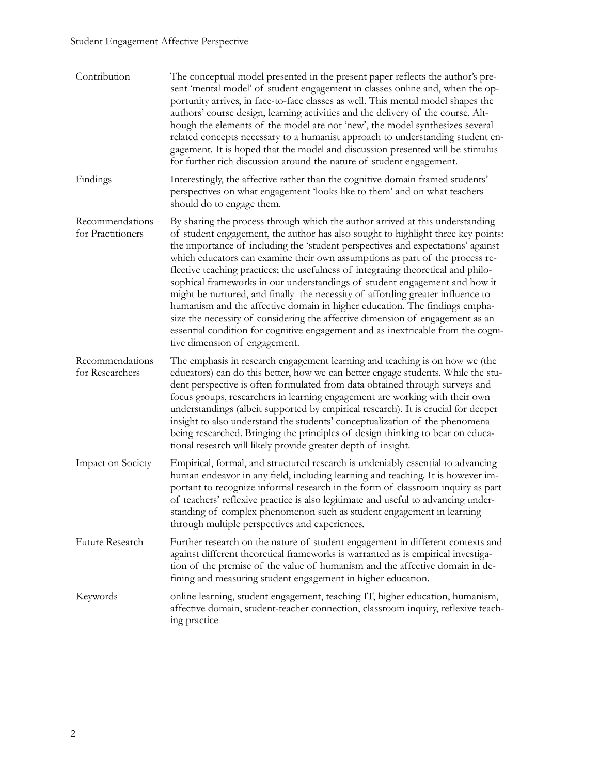| Contribution                         | The conceptual model presented in the present paper reflects the author's pre-<br>sent 'mental model' of student engagement in classes online and, when the op-<br>portunity arrives, in face-to-face classes as well. This mental model shapes the<br>authors' course design, learning activities and the delivery of the course. Alt-<br>hough the elements of the model are not 'new', the model synthesizes several<br>related concepts necessary to a humanist approach to understanding student en-<br>gagement. It is hoped that the model and discussion presented will be stimulus<br>for further rich discussion around the nature of student engagement.                                                                                                                                                                                                           |
|--------------------------------------|-------------------------------------------------------------------------------------------------------------------------------------------------------------------------------------------------------------------------------------------------------------------------------------------------------------------------------------------------------------------------------------------------------------------------------------------------------------------------------------------------------------------------------------------------------------------------------------------------------------------------------------------------------------------------------------------------------------------------------------------------------------------------------------------------------------------------------------------------------------------------------|
| Findings                             | Interestingly, the affective rather than the cognitive domain framed students'<br>perspectives on what engagement 'looks like to them' and on what teachers<br>should do to engage them.                                                                                                                                                                                                                                                                                                                                                                                                                                                                                                                                                                                                                                                                                      |
| Recommendations<br>for Practitioners | By sharing the process through which the author arrived at this understanding<br>of student engagement, the author has also sought to highlight three key points:<br>the importance of including the 'student perspectives and expectations' against<br>which educators can examine their own assumptions as part of the process re-<br>flective teaching practices; the usefulness of integrating theoretical and philo-<br>sophical frameworks in our understandings of student engagement and how it<br>might be nurtured, and finally the necessity of affording greater influence to<br>humanism and the affective domain in higher education. The findings empha-<br>size the necessity of considering the affective dimension of engagement as an<br>essential condition for cognitive engagement and as inextricable from the cogni-<br>tive dimension of engagement. |
| Recommendations<br>for Researchers   | The emphasis in research engagement learning and teaching is on how we (the<br>educators) can do this better, how we can better engage students. While the stu-<br>dent perspective is often formulated from data obtained through surveys and<br>focus groups, researchers in learning engagement are working with their own<br>understandings (albeit supported by empirical research). It is crucial for deeper<br>insight to also understand the students' conceptualization of the phenomena<br>being researched. Bringing the principles of design thinking to bear on educa-<br>tional research will likely provide greater depth of insight.                                                                                                                                                                                                                          |
| Impact on Society                    | Empirical, formal, and structured research is undeniably essential to advancing<br>human endeavor in any field, including learning and teaching. It is however im-<br>portant to recognize informal research in the form of classroom inquiry as part<br>of teachers' reflexive practice is also legitimate and useful to advancing under-<br>standing of complex phenomenon such as student engagement in learning<br>through multiple perspectives and experiences.                                                                                                                                                                                                                                                                                                                                                                                                         |
| Future Research                      | Further research on the nature of student engagement in different contexts and<br>against different theoretical frameworks is warranted as is empirical investiga-<br>tion of the premise of the value of humanism and the affective domain in de-<br>fining and measuring student engagement in higher education.                                                                                                                                                                                                                                                                                                                                                                                                                                                                                                                                                            |
| Keywords                             | online learning, student engagement, teaching IT, higher education, humanism,<br>affective domain, student-teacher connection, classroom inquiry, reflexive teach-<br>ing practice                                                                                                                                                                                                                                                                                                                                                                                                                                                                                                                                                                                                                                                                                            |